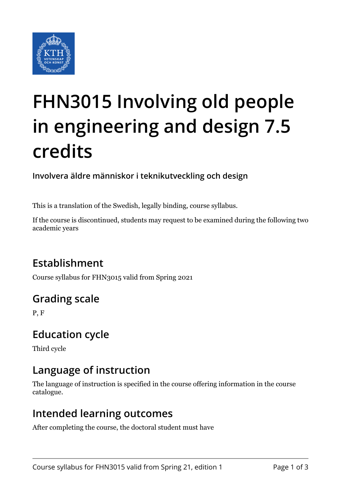

# **FHN3015 Involving old people in engineering and design 7.5 credits**

**Involvera äldre människor i teknikutveckling och design**

This is a translation of the Swedish, legally binding, course syllabus.

If the course is discontinued, students may request to be examined during the following two academic years

# **Establishment**

Course syllabus for FHN3015 valid from Spring 2021

# **Grading scale**

P, F

## **Education cycle**

Third cycle

## **Language of instruction**

The language of instruction is specified in the course offering information in the course catalogue.

### **Intended learning outcomes**

After completing the course, the doctoral student must have